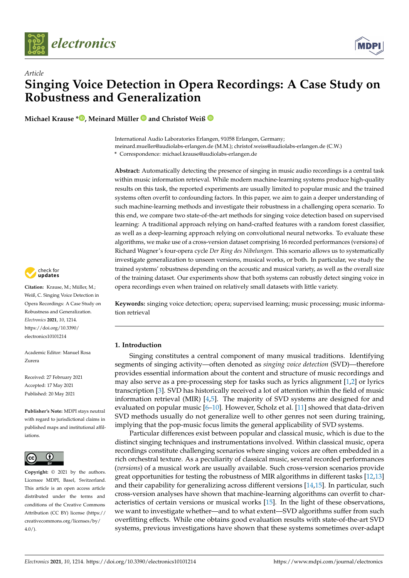



**Michael Krause \* [,](https://orcid.org/0000-0001-7194-0719) Meinard Müller and Christof Weiß**

International Audio Laboratories Erlangen, 91058 Erlangen, Germany; meinard.mueller@audiolabs-erlangen.de (M.M.); christof.weiss@audiolabs-erlangen.de (C.W.) **\*** Correspondence: michael.krause@audiolabs-erlangen.de

**Abstract:** Automatically detecting the presence of singing in music audio recordings is a central task within music information retrieval. While modern machine-learning systems produce high-quality results on this task, the reported experiments are usually limited to popular music and the trained systems often overfit to confounding factors. In this paper, we aim to gain a deeper understanding of such machine-learning methods and investigate their robustness in a challenging opera scenario. To this end, we compare two state-of-the-art methods for singing voice detection based on supervised learning: A traditional approach relying on hand-crafted features with a random forest classifier, as well as a deep-learning approach relying on convolutional neural networks. To evaluate these algorithms, we make use of a cross-version dataset comprising 16 recorded performances (versions) of Richard Wagner's four-opera cycle *Der Ring des Nibelungen*. This scenario allows us to systematically investigate generalization to unseen versions, musical works, or both. In particular, we study the trained systems' robustness depending on the acoustic and musical variety, as well as the overall size of the training dataset. Our experiments show that both systems can robustly detect singing voice in opera recordings even when trained on relatively small datasets with little variety.

**Keywords:** singing voice detection; opera; supervised learning; music processing; music information retrieval

# **1. Introduction**

Singing constitutes a central component of many musical traditions. Identifying segments of singing activity—often denoted as *singing voice detection* (SVD)—therefore provides essential information about the content and structure of music recordings and may also serve as a pre-processing step for tasks such as lyrics alignment [\[1](#page-12-0)[,2\]](#page-12-1) or lyrics transcription [\[3\]](#page-12-2). SVD has historically received a lot of attention within the field of music information retrieval (MIR) [\[4,](#page-12-3)[5\]](#page-12-4). The majority of SVD systems are designed for and evaluated on popular music [\[6–](#page-12-5)[10\]](#page-12-6). However, Scholz et al. [\[11\]](#page-12-7) showed that data-driven SVD methods usually do not generalize well to other genres not seen during training, implying that the pop-music focus limits the general applicability of SVD systems.

Particular differences exist between popular and classical music, which is due to the distinct singing techniques and instrumentations involved. Within classical music, opera recordings constitute challenging scenarios where singing voices are often embedded in a rich orchestral texture. As a peculiarity of classical music, several recorded performances (*versions*) of a musical work are usually available. Such cross-version scenarios provide great opportunities for testing the robustness of MIR algorithms in different tasks [\[12,](#page-12-8)[13\]](#page-12-9) and their capability for generalizing across different versions [\[14](#page-12-10)[,15\]](#page-12-11). In particular, such cross-version analyses have shown that machine-learning algorithms can overfit to characteristics of certain versions or musical works [\[15\]](#page-12-11). In the light of these observations, we want to investigate whether—and to what extent—SVD algorithms suffer from such overfitting effects. While one obtains good evaluation results with state-of-the-art SVD systems, previous investigations have shown that these systems sometimes over-adapt



**Citation:** Krause, M.; Müller, M.; Weiß, C. Singing Voice Detection in Opera Recordings: A Case Study on Robustness and Generalization. *Electronics* **2021**, *10*, 1214. [https://doi.org/10.3390/](https://doi.org/10.3390/electronics10101214) [electronics10101214](https://doi.org/10.3390/electronics10101214)

Academic Editor: Manuel Rosa Zurera

Received: 27 February 2021 Accepted: 17 May 2021 Published: 20 May 2021

**Publisher's Note:** MDPI stays neutral with regard to jurisdictional claims in published maps and institutional affiliations.



**Copyright:** © 2021 by the authors. Licensee MDPI, Basel, Switzerland. This article is an open access article distributed under the terms and conditions of the Creative Commons Attribution (CC BY) license (https:/[/](https://creativecommons.org/licenses/by/4.0/) [creativecommons.org/licenses/by/](https://creativecommons.org/licenses/by/4.0/)  $4.0/$ ).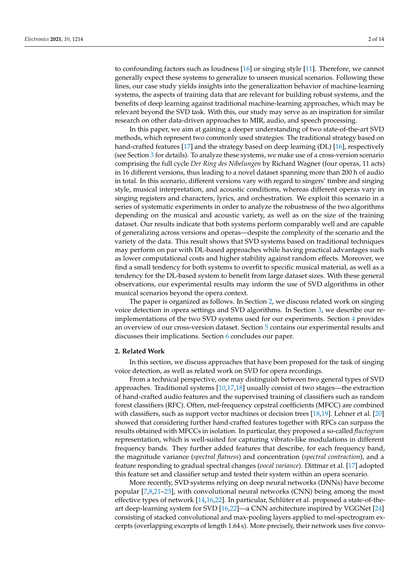to confounding factors such as loudness [\[16\]](#page-12-12) or singing style [\[11\]](#page-12-7). Therefore, we cannot generally expect these systems to generalize to unseen musical scenarios. Following these lines, our case study yields insights into the generalization behavior of machine-learning systems, the aspects of training data that are relevant for building robust systems, and the benefits of deep learning against traditional machine-learning approaches, which may be relevant beyond the SVD task. With this, our study may serve as an inspiration for similar research on other data-driven approaches to MIR, audio, and speech processing.

In this paper, we aim at gaining a deeper understanding of two state-of-the-art SVD methods, which represent two commonly used strategies: The traditional strategy based on hand-crafted features [\[17\]](#page-12-13) and the strategy based on deep learning (DL) [\[16\]](#page-12-12), respectively (see Section [3](#page-2-0) for details). To analyze these systems, we make use of a cross-version scenario comprising the full cycle *Der Ring des Nibelungen* by Richard Wagner (four operas, 11 acts) in 16 different versions, thus leading to a novel dataset spanning more than 200 h of audio in total. In this scenario, different versions vary with regard to singers' timbre and singing style, musical interpretation, and acoustic conditions, whereas different operas vary in singing registers and characters, lyrics, and orchestration. We exploit this scenario in a series of systematic experiments in order to analyze the robustness of the two algorithms depending on the musical and acoustic variety, as well as on the size of the training dataset. Our results indicate that both systems perform comparably well and are capable of generalizing across versions and operas—despite the complexity of the scenario and the variety of the data. This result shows that SVD systems based on traditional techniques may perform on par with DL-based approaches while having practical advantages such as lower computational costs and higher stability against random effects. Moreover, we find a small tendency for both systems to overfit to specific musical material, as well as a tendency for the DL-based system to benefit from large dataset sizes. With these general observations, our experimental results may inform the use of SVD algorithms in other musical scenarios beyond the opera context.

The paper is organized as follows. In Section [2,](#page-1-0) we discuss related work on singing voice detection in opera settings and SVD algorithms. In Section [3,](#page-2-0) we describe our reimplementations of the two SVD systems used for our experiments. Section [4](#page-4-0) provides an overview of our cross-version dataset. Section [5](#page-5-0) contains our experimental results and discusses their implications. Section [6](#page-10-0) concludes our paper.

#### <span id="page-1-0"></span>**2. Related Work**

In this section, we discuss approaches that have been proposed for the task of singing voice detection, as well as related work on SVD for opera recordings.

From a technical perspective, one may distinguish between two general types of SVD approaches. Traditional systems  $[10,17,18]$  $[10,17,18]$  $[10,17,18]$  usually consist of two stages—the extraction of hand-crafted audio features and the supervised training of classifiers such as random forest classifiers (RFC). Often, mel-frequency cepstral coefficients (MFCC) are combined with classifiers, such as support vector machines or decision trees [\[18,](#page-12-14)[19\]](#page-12-15). Lehner et al. [\[20\]](#page-12-16) showed that considering further hand-crafted features together with RFCs can surpass the results obtained with MFCCs in isolation. In particular, they proposed a so-called *fluctogram* representation, which is well-suited for capturing vibrato-like modulations in different frequency bands. They further added features that describe, for each frequency band, the magnitude variance (*spectral flatness*) and concentration (*spectral contraction*), and a feature responding to gradual spectral changes (*vocal variance*). Dittmar et al. [\[17\]](#page-12-13) adopted this feature set and classifier setup and tested their system within an opera scenario.

More recently, SVD systems relying on deep neural networks (DNNs) have become popular [\[7](#page-12-17)[,8](#page-12-18)[,21](#page-12-19)[–23\]](#page-12-20), with convolutional neural networks (CNN) being among the most effective types of network [\[14,](#page-12-10)[16,](#page-12-12)[22\]](#page-12-21). In particular, Schlüter et al. proposed a state-of-theart deep-learning system for SVD [\[16](#page-12-12)[,22\]](#page-12-21)—a CNN architecture inspired by VGGNet [\[24\]](#page-13-0) consisting of stacked convolutional and max-pooling layers applied to mel-spectrogram excerpts (overlapping excerpts of length 1.64 s). More precisely, their network uses five convo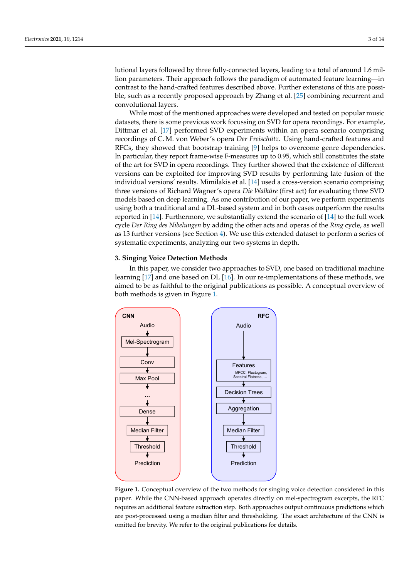lutional layers followed by three fully-connected layers, leading to a total of around 1.6 million parameters. Their approach follows the paradigm of automated feature learning—in contrast to the hand-crafted features described above. Further extensions of this are possible, such as a recently proposed approach by Zhang et al. [\[25\]](#page-13-1) combining recurrent and convolutional layers.

While most of the mentioned approaches were developed and tested on popular music datasets, there is some previous work focussing on SVD for opera recordings. For example, Dittmar et al. [\[17\]](#page-12-13) performed SVD experiments within an opera scenario comprising recordings of C. M. von Weber's opera *Der Freischütz*. Using hand-crafted features and RFCs, they showed that bootstrap training [\[9\]](#page-12-22) helps to overcome genre dependencies. In particular, they report frame-wise F-measures up to 0.95, which still constitutes the state of the art for SVD in opera recordings. They further showed that the existence of different versions can be exploited for improving SVD results by performing late fusion of the individual versions' results. Mimilakis et al. [\[14\]](#page-12-10) used a cross-version scenario comprising three versions of Richard Wagner's opera *Die Walküre* (first act) for evaluating three SVD models based on deep learning. As one contribution of our paper, we perform experiments using both a traditional and a DL-based system and in both cases outperform the results reported in [\[14\]](#page-12-10). Furthermore, we substantially extend the scenario of [\[14\]](#page-12-10) to the full work cycle *Der Ring des Nibelungen* by adding the other acts and operas of the *Ring* cycle, as well as 13 further versions (see Section [4\)](#page-4-0). We use this extended dataset to perform a series of systematic experiments, analyzing our two systems in depth.

# <span id="page-2-0"></span>**3. Singing Voice Detection Methods**

In this paper, we consider two approaches to SVD, one based on traditional machine learning [\[17\]](#page-12-13) and one based on DL [\[16\]](#page-12-12). In our re-implementations of these methods, we aimed to be as faithful to the original publications as possible. A conceptual overview of both methods is given in Figure [1.](#page-2-1)

<span id="page-2-1"></span>

**Figure 1.** Conceptual overview of the two methods for singing voice detection considered in this paper. While the CNN-based approach operates directly on mel-spectrogram excerpts, the RFC requires an additional feature extraction step. Both approaches output continuous predictions which are post-processed using a median filter and thresholding. The exact architecture of the CNN is omitted for brevity. We refer to the original publications for details.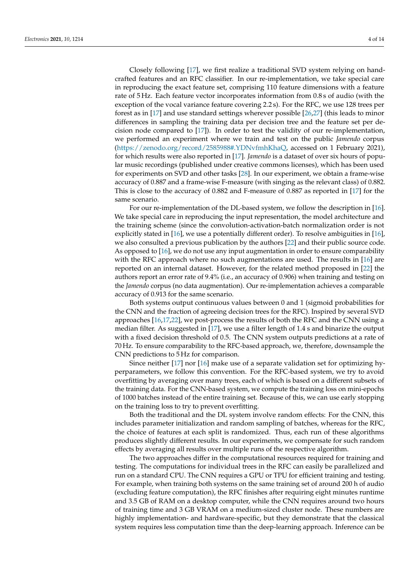Closely following [\[17\]](#page-12-13), we first realize a traditional SVD system relying on handcrafted features and an RFC classifier. In our re-implementation, we take special care in reproducing the exact feature set, comprising 110 feature dimensions with a feature rate of 5 Hz. Each feature vector incorporates information from 0.8 s of audio (with the exception of the vocal variance feature covering 2.2 s). For the RFC, we use 128 trees per forest as in [\[17\]](#page-12-13) and use standard settings wherever possible [\[26](#page-13-2)[,27\]](#page-13-3) (this leads to minor differences in sampling the training data per decision tree and the feature set per decision node compared to [\[17\]](#page-12-13)). In order to test the validity of our re-implementation, we performed an experiment where we train and test on the public *Jamendo* corpus [\(https://zenodo.org/record/2585988#.YDNvfmhKhaQ,](https://zenodo.org/record/2585988#.YDNvfmhKhaQ) accessed on 1 February 2021), for which results were also reported in [\[17\]](#page-12-13). *Jamendo* is a dataset of over six hours of popular music recordings (published under creative commons licenses), which has been used for experiments on SVD and other tasks [\[28\]](#page-13-4). In our experiment, we obtain a frame-wise accuracy of 0.887 and a frame-wise F-measure (with singing as the relevant class) of 0.882. This is close to the accuracy of 0.882 and F-measure of 0.887 as reported in [\[17\]](#page-12-13) for the same scenario.

For our re-implementation of the DL-based system, we follow the description in [\[16\]](#page-12-12). We take special care in reproducing the input representation, the model architecture and the training scheme (since the convolution-activation-batch normalization order is not explicitly stated in [\[16\]](#page-12-12), we use a potentially different order). To resolve ambiguities in [\[16\]](#page-12-12), we also consulted a previous publication by the authors [\[22\]](#page-12-21) and their public source code. As opposed to [\[16\]](#page-12-12), we do not use any input augmentation in order to ensure comparability with the RFC approach where no such augmentations are used. The results in  $[16]$  are reported on an internal dataset. However, for the related method proposed in [\[22\]](#page-12-21) the authors report an error rate of 9.4% (i.e., an accuracy of 0.906) when training and testing on the *Jamendo* corpus (no data augmentation). Our re-implementation achieves a comparable accuracy of 0.913 for the same scenario.

Both systems output continuous values between 0 and 1 (sigmoid probabilities for the CNN and the fraction of agreeing decision trees for the RFC). Inspired by several SVD approaches [\[16](#page-12-12)[,17](#page-12-13)[,22\]](#page-12-21), we post-process the results of both the RFC and the CNN using a median filter. As suggested in [\[17\]](#page-12-13), we use a filter length of 1.4 s and binarize the output with a fixed decision threshold of 0.5. The CNN system outputs predictions at a rate of 70 Hz. To ensure comparability to the RFC-based approach, we, therefore, downsample the CNN predictions to 5 Hz for comparison.

Since neither [\[17\]](#page-12-13) nor [\[16\]](#page-12-12) make use of a separate validation set for optimizing hyperparameters, we follow this convention. For the RFC-based system, we try to avoid overfitting by averaging over many trees, each of which is based on a different subsets of the training data. For the CNN-based system, we compute the training loss on mini-epochs of 1000 batches instead of the entire training set. Because of this, we can use early stopping on the training loss to try to prevent overfitting.

Both the traditional and the DL system involve random effects: For the CNN, this includes parameter initialization and random sampling of batches, whereas for the RFC, the choice of features at each split is randomized. Thus, each run of these algorithms produces slightly different results. In our experiments, we compensate for such random effects by averaging all results over multiple runs of the respective algorithm.

The two approaches differ in the computational resources required for training and testing. The computations for individual trees in the RFC can easily be parallelized and run on a standard CPU. The CNN requires a GPU or TPU for efficient training and testing. For example, when training both systems on the same training set of around 200 h of audio (excluding feature computation), the RFC finishes after requiring eight minutes runtime and 3.5 GB of RAM on a desktop computer, while the CNN requires around two hours of training time and 3 GB VRAM on a medium-sized cluster node. These numbers are highly implementation- and hardware-specific, but they demonstrate that the classical system requires less computation time than the deep-learning approach. Inference can be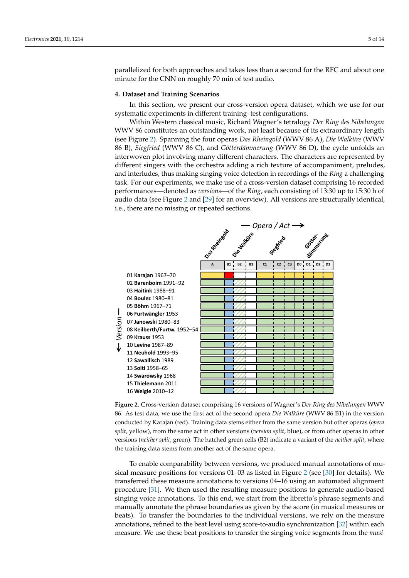parallelized for both approaches and takes less than a second for the RFC and about one minute for the CNN on roughly 70 min of test audio.

### <span id="page-4-0"></span>**4. Dataset and Training Scenarios**

In this section, we present our cross-version opera dataset, which we use for our systematic experiments in different training–test configurations.

Within Western classical music, Richard Wagner's tetralogy *Der Ring des Nibelungen* WWV 86 constitutes an outstanding work, not least because of its extraordinary length (see Figure [2\)](#page-4-1). Spanning the four operas *Das Rheingold* (WWV 86 A), *Die Walküre* (WWV 86 B), *Siegfried* (WWV 86 C), and *Götterdämmerung* (WWV 86 D), the cycle unfolds an interwoven plot involving many different characters. The characters are represented by different singers with the orchestra adding a rich texture of accompaniment, preludes, and interludes, thus making singing voice detection in recordings of the *Ring* a challenging task. For our experiments, we make use of a cross-version dataset comprising 16 recorded performances—denoted as *versions*—of the *Ring*, each consisting of 13:30 up to 15:30 h of audio data (see Figure [2](#page-4-1) and [\[29\]](#page-13-5) for an overview). All versions are structurally identical, i.e., there are no missing or repeated sections.

<span id="page-4-1"></span>

**Figure 2.** Cross-version dataset comprising 16 versions of Wagner's *Der Ring des Nibelungen* WWV 86. As test data, we use the first act of the second opera *Die Walküre* (WWV 86 B1) in the version conducted by Karajan (red). Training data stems either from the same version but other operas (*opera split*, yellow), from the same act in other versions (*version split*, blue), or from other operas in other versions (*neither split*, green). The hatched green cells (B2) indicate a variant of the *neither split*, where the training data stems from another act of the same opera.

To enable comparability between versions, we produced manual annotations of musical measure positions for versions 01–03 as listed in Figure [2](#page-4-1) (see [\[30\]](#page-13-6) for details). We transferred these measure annotations to versions 04–16 using an automated alignment procedure [\[31\]](#page-13-7). We then used the resulting measure positions to generate audio-based singing voice annotations. To this end, we start from the libretto's phrase segments and manually annotate the phrase boundaries as given by the score (in musical measures or beats). To transfer the boundaries to the individual versions, we rely on the measure annotations, refined to the beat level using score-to-audio synchronization [\[32\]](#page-13-8) within each measure. We use these beat positions to transfer the singing voice segments from the *musi-*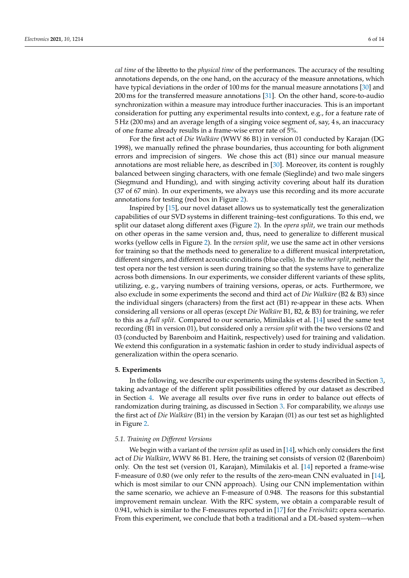*cal time* of the libretto to the *physical time* of the performances. The accuracy of the resulting annotations depends, on the one hand, on the accuracy of the measure annotations, which have typical deviations in the order of 100 ms for the manual measure annotations [\[30\]](#page-13-6) and 200 ms for the transferred measure annotations [\[31\]](#page-13-7). On the other hand, score-to-audio synchronization within a measure may introduce further inaccuracies. This is an important consideration for putting any experimental results into context, e.g., for a feature rate of 5 Hz (200 ms) and an average length of a singing voice segment of, say, 4 s, an inaccuracy of one frame already results in a frame-wise error rate of 5%.

For the first act of *Die Walküre* (WWV 86 B1) in version 01 conducted by Karajan (DG 1998), we manually refined the phrase boundaries, thus accounting for both alignment errors and imprecision of singers. We chose this act (B1) since our manual measure annotations are most reliable here, as described in [\[30\]](#page-13-6). Moreover, its content is roughly balanced between singing characters, with one female (Sieglinde) and two male singers (Siegmund and Hunding), and with singing activity covering about half its duration (37 of 67 min). In our experiments, we always use this recording and its more accurate annotations for testing (red box in Figure [2\)](#page-4-1).

Inspired by [\[15\]](#page-12-11), our novel dataset allows us to systematically test the generalization capabilities of our SVD systems in different training–test configurations. To this end, we split our dataset along different axes (Figure [2\)](#page-4-1). In the *opera split*, we train our methods on other operas in the same version and, thus, need to generalize to different musical works (yellow cells in Figure [2\)](#page-4-1). In the *version split*, we use the same act in other versions for training so that the methods need to generalize to a different musical interpretation, different singers, and different acoustic conditions (blue cells). In the *neither split*, neither the test opera nor the test version is seen during training so that the systems have to generalize across both dimensions. In our experiments, we consider different variants of these splits, utilizing, e. g., varying numbers of training versions, operas, or acts. Furthermore, we also exclude in some experiments the second and third act of *Die Walküre* (B2 & B3) since the individual singers (characters) from the first act (B1) re-appear in these acts. When considering all versions or all operas (except *Die Walküre* B1, B2, & B3) for training, we refer to this as a *full split*. Compared to our scenario, Mimilakis et al. [\[14\]](#page-12-10) used the same test recording (B1 in version 01), but considered only a *version split* with the two versions 02 and 03 (conducted by Barenboim and Haitink, respectively) used for training and validation. We extend this configuration in a systematic fashion in order to study individual aspects of generalization within the opera scenario.

#### <span id="page-5-0"></span>**5. Experiments**

In the following, we describe our experiments using the systems described in Section [3,](#page-2-0) taking advantage of the different split possibilities offered by our dataset as described in Section [4.](#page-4-0) We average all results over five runs in order to balance out effects of randomization during training, as discussed in Section [3.](#page-2-0) For comparability, we *always* use the first act of *Die Walküre* (B1) in the version by Karajan (01) as our test set as highlighted in Figure [2.](#page-4-1)

### *5.1. Training on Different Versions*

We begin with a variant of the *version split* as used in [\[14\]](#page-12-10), which only considers the first act of *Die Walküre*, WWV 86 B1. Here, the training set consists of version 02 (Barenboim) only. On the test set (version 01, Karajan), Mimilakis et al. [\[14\]](#page-12-10) reported a frame-wise F-measure of 0.80 (we only refer to the results of the zero-mean CNN evaluated in [\[14\]](#page-12-10), which is most similar to our CNN approach). Using our CNN implementation within the same scenario, we achieve an F-measure of 0.948. The reasons for this substantial improvement remain unclear. With the RFC system, we obtain a comparable result of 0.941, which is similar to the F-measures reported in [\[17\]](#page-12-13) for the *Freischütz* opera scenario. From this experiment, we conclude that both a traditional and a DL-based system—when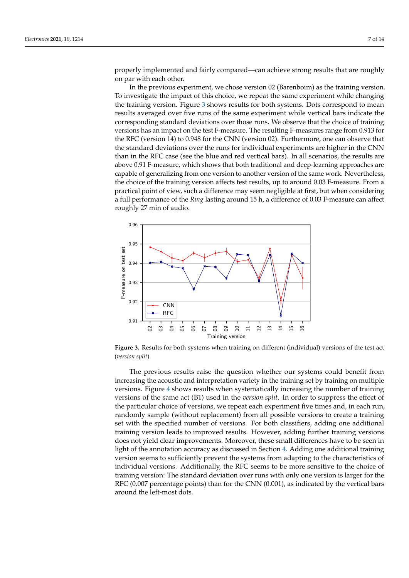properly implemented and fairly compared—can achieve strong results that are roughly on par with each other.

In the previous experiment, we chose version 02 (Barenboim) as the training version. To investigate the impact of this choice, we repeat the same experiment while changing the training version. Figure [3](#page-6-0) shows results for both systems. Dots correspond to mean results averaged over five runs of the same experiment while vertical bars indicate the corresponding standard deviations over those runs. We observe that the choice of training versions has an impact on the test F-measure. The resulting F-measures range from 0.913 for the RFC (version 14) to 0.948 for the CNN (version 02). Furthermore, one can observe that the standard deviations over the runs for individual experiments are higher in the CNN than in the RFC case (see the blue and red vertical bars). In all scenarios, the results are above 0.91 F-measure, which shows that both traditional and deep-learning approaches are capable of generalizing from one version to another version of the same work. Nevertheless, the choice of the training version affects test results, up to around 0.03 F-measure. From a practical point of view, such a difference may seem negligible at first, but when considering a full performance of the *Ring* lasting around 15 h, a difference of 0.03 F-measure can affect roughly 27 min of audio.

<span id="page-6-0"></span>

**Figure 3.** Results for both systems when training on different (individual) versions of the test act (*version split*).

The previous results raise the question whether our systems could benefit from increasing the acoustic and interpretation variety in the training set by training on multiple versions. Figure [4](#page-7-0) shows results when systematically increasing the number of training versions of the same act (B1) used in the *version split*. In order to suppress the effect of the particular choice of versions, we repeat each experiment five times and, in each run, randomly sample (without replacement) from all possible versions to create a training set with the specified number of versions. For both classifiers, adding one additional training version leads to improved results. However, adding further training versions does not yield clear improvements. Moreover, these small differences have to be seen in light of the annotation accuracy as discussed in Section [4.](#page-4-0) Adding one additional training version seems to sufficiently prevent the systems from adapting to the characteristics of individual versions. Additionally, the RFC seems to be more sensitive to the choice of training version: The standard deviation over runs with only one version is larger for the RFC (0.007 percentage points) than for the CNN (0.001), as indicated by the vertical bars around the left-most dots.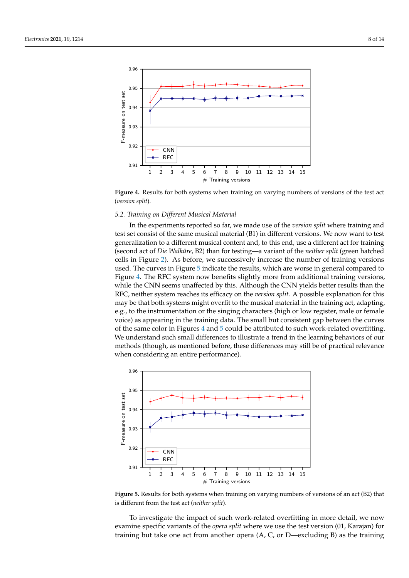<span id="page-7-0"></span>

**Figure 4.** Results for both systems when training on varying numbers of versions of the test act (*version split*).

### *5.2. Training on Different Musical Material*

In the experiments reported so far, we made use of the *version split* where training and test set consist of the same musical material (B1) in different versions. We now want to test generalization to a different musical content and, to this end, use a different act for training (second act of *Die Walküre*, B2) than for testing—a variant of the *neither split* (green hatched cells in Figure [2\)](#page-4-1). As before, we successively increase the number of training versions used. The curves in Figure [5](#page-7-1) indicate the results, which are worse in general compared to Figure [4.](#page-7-0) The RFC system now benefits slightly more from additional training versions, while the CNN seems unaffected by this. Although the CNN yields better results than the RFC, neither system reaches its efficacy on the *version split*. A possible explanation for this may be that both systems might overfit to the musical material in the training act, adapting, e.g., to the instrumentation or the singing characters (high or low register, male or female voice) as appearing in the training data. The small but consistent gap between the curves of the same color in Figures [4](#page-7-0) and [5](#page-7-1) could be attributed to such work-related overfitting. We understand such small differences to illustrate a trend in the learning behaviors of our methods (though, as mentioned before, these differences may still be of practical relevance when considering an entire performance).

<span id="page-7-1"></span>

**Figure 5.** Results for both systems when training on varying numbers of versions of an act (B2) that is different from the test act (*neither split*).

To investigate the impact of such work-related overfitting in more detail, we now examine specific variants of the *opera split* where we use the test version (01, Karajan) for training but take one act from another opera (A, C, or D—excluding B) as the training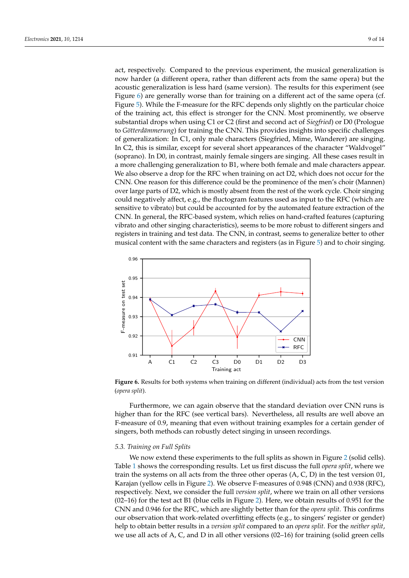act, respectively. Compared to the previous experiment, the musical generalization is now harder (a different opera, rather than different acts from the same opera) but the acoustic generalization is less hard (same version). The results for this experiment (see Figure [6\)](#page-8-0) are generally worse than for training on a different act of the same opera (cf. Figure [5\)](#page-7-1). While the F-measure for the RFC depends only slightly on the particular choice of the training act, this effect is stronger for the CNN. Most prominently, we observe substantial drops when using C1 or C2 (first and second act of *Siegfried*) or D0 (Prologue to *Götterdämmerung*) for training the CNN. This provides insights into specific challenges of generalization: In C1, only male characters (Siegfried, Mime, Wanderer) are singing. In C2, this is similar, except for several short appearances of the character "Waldvogel" (soprano). In D0, in contrast, mainly female singers are singing. All these cases result in a more challenging generalization to B1, where both female and male characters appear. We also observe a drop for the RFC when training on act D2, which does not occur for the CNN. One reason for this difference could be the prominence of the men's choir (Mannen) over large parts of D2, which is mostly absent from the rest of the work cycle. Choir singing could negatively affect, e.g., the fluctogram features used as input to the RFC (which are sensitive to vibrato) but could be accounted for by the automated feature extraction of the CNN. In general, the RFC-based system, which relies on hand-crafted features (capturing vibrato and other singing characteristics), seems to be more robust to different singers and registers in training and test data. The CNN, in contrast, seems to generalize better to other musical content with the same characters and registers (as in Figure [5\)](#page-7-1) and to choir singing.

<span id="page-8-0"></span>

**Figure 6.** Results for both systems when training on different (individual) acts from the test version (*opera split*).

Furthermore, we can again observe that the standard deviation over CNN runs is higher than for the RFC (see vertical bars). Nevertheless, all results are well above an F-measure of 0.9, meaning that even without training examples for a certain gender of singers, both methods can robustly detect singing in unseen recordings.

## *5.3. Training on Full Splits*

We now extend these experiments to the full splits as shown in Figure [2](#page-4-1) (solid cells). Table [1](#page-9-0) shows the corresponding results. Let us first discuss the full *opera split*, where we train the systems on all acts from the three other operas (A, C, D) in the test version 01, Karajan (yellow cells in Figure [2\)](#page-4-1). We observe F-measures of 0.948 (CNN) and 0.938 (RFC), respectively. Next, we consider the full *version split*, where we train on all other versions  $(02–16)$  for the test act B1 (blue cells in Figure [2\)](#page-4-1). Here, we obtain results of 0.951 for the CNN and 0.946 for the RFC, which are slightly better than for the *opera split*. This confirms our observation that work-related overfitting effects (e.g., to singers' register or gender) help to obtain better results in a *version split* compared to an *opera split*. For the *neither split*, we use all acts of A, C, and D in all other versions (02–16) for training (solid green cells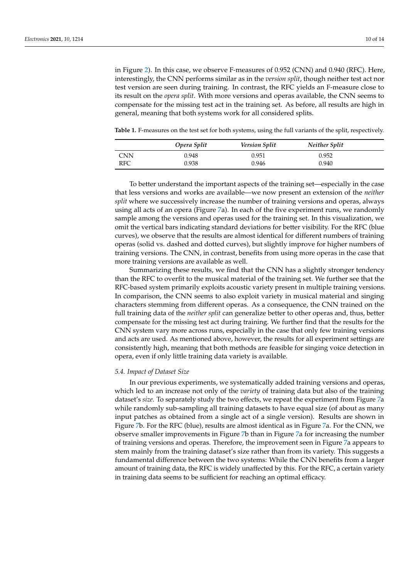in Figure [2\)](#page-4-1). In this case, we observe F-measures of 0.952 (CNN) and 0.940 (RFC). Here, interestingly, the CNN performs similar as in the *version split*, though neither test act nor test version are seen during training. In contrast, the RFC yields an F-measure close to its result on the *opera split*. With more versions and operas available, the CNN seems to compensate for the missing test act in the training set. As before, all results are high in general, meaning that both systems work for all considered splits.

<span id="page-9-0"></span>**Table 1.** F-measures on the test set for both systems, using the full variants of the split, respectively.

|            | Opera Split | <b>Version Split</b> | Neither Split |  |
|------------|-------------|----------------------|---------------|--|
| <b>CNN</b> | 0.948       | 0.951                | 0.952         |  |
| RFC        | 0.938       | 0.946                | 0.940         |  |

To better understand the important aspects of the training set—especially in the case that less versions and works are available—we now present an extension of the *neither split* where we successively increase the number of training versions and operas, always using all acts of an opera (Figure [7a](#page-10-1)). In each of the five experiment runs, we randomly sample among the versions and operas used for the training set. In this visualization, we omit the vertical bars indicating standard deviations for better visibility. For the RFC (blue curves), we observe that the results are almost identical for different numbers of training operas (solid vs. dashed and dotted curves), but slightly improve for higher numbers of training versions. The CNN, in contrast, benefits from using more operas in the case that more training versions are available as well.

Summarizing these results, we find that the CNN has a slightly stronger tendency than the RFC to overfit to the musical material of the training set. We further see that the RFC-based system primarily exploits acoustic variety present in multiple training versions. In comparison, the CNN seems to also exploit variety in musical material and singing characters stemming from different operas. As a consequence, the CNN trained on the full training data of the *neither split* can generalize better to other operas and, thus, better compensate for the missing test act during training. We further find that the results for the CNN system vary more across runs, especially in the case that only few training versions and acts are used. As mentioned above, however, the results for all experiment settings are consistently high, meaning that both methods are feasible for singing voice detection in opera, even if only little training data variety is available.

#### *5.4. Impact of Dataset Size*

In our previous experiments, we systematically added training versions and operas, which led to an increase not only of the *variety* of training data but also of the training dataset's *size*. To separately study the two effects, we repeat the experiment from Figure [7a](#page-10-1) while randomly sub-sampling all training datasets to have equal size (of about as many input patches as obtained from a single act of a single version). Results are shown in Figure [7b](#page-10-1). For the RFC (blue), results are almost identical as in Figure [7a](#page-10-1). For the CNN, we observe smaller improvements in Figure [7b](#page-10-1) than in Figure [7a](#page-10-1) for increasing the number of training versions and operas. Therefore, the improvement seen in Figure [7a](#page-10-1) appears to stem mainly from the training dataset's size rather than from its variety. This suggests a fundamental difference between the two systems: While the CNN benefits from a larger amount of training data, the RFC is widely unaffected by this. For the RFC, a certain variety in training data seems to be sufficient for reaching an optimal efficacy.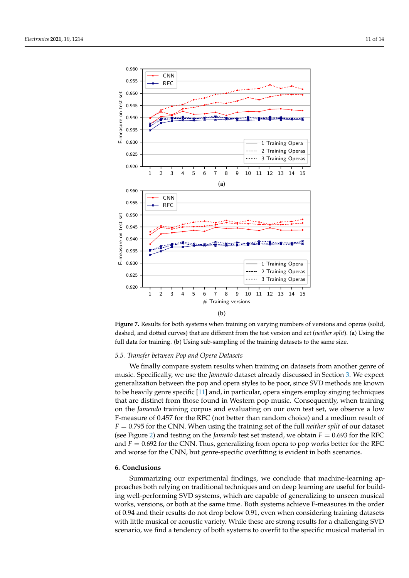<span id="page-10-1"></span>



### *5.5. Transfer between Pop and Opera Datasets*

We finally compare system results when training on datasets from another genre of music. Specifically, we use the *Jamendo* dataset already discussed in Section [3.](#page-2-0) We expect generalization between the pop and opera styles to be poor, since SVD methods are known to be heavily genre specific [\[11\]](#page-12-7) and, in particular, opera singers employ singing techniques that are distinct from those found in Western pop music. Consequently, when training on the *Jamendo* training corpus and evaluating on our own test set, we observe a low F-measure of 0.457 for the RFC (not better than random choice) and a medium result of *F* = 0.795 for the CNN. When using the training set of the full *neither split* of our dataset (see Figure [2\)](#page-4-1) and testing on the *Jamendo* test set instead, we obtain  $F = 0.693$  for the RFC and  $F = 0.692$  for the CNN. Thus, generalizing from opera to pop works better for the RFC and worse for the CNN, but genre-specific overfitting is evident in both scenarios.

#### <span id="page-10-0"></span>**6. Conclusions**

Summarizing our experimental findings, we conclude that machine-learning approaches both relying on traditional techniques and on deep learning are useful for building well-performing SVD systems, which are capable of generalizing to unseen musical works, versions, or both at the same time. Both systems achieve F-measures in the order of 0.94 and their results do not drop below 0.91, even when considering training datasets with little musical or acoustic variety. While these are strong results for a challenging SVD scenario, we find a tendency of both systems to overfit to the specific musical material in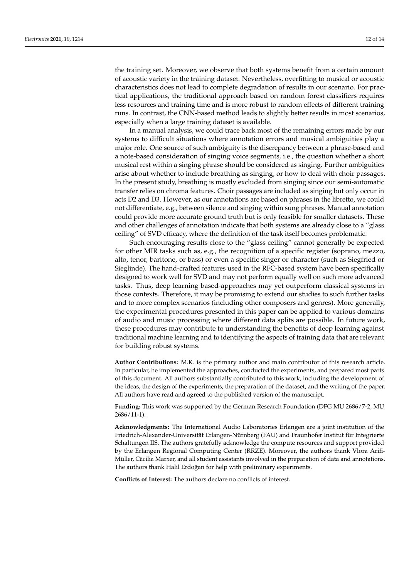the training set. Moreover, we observe that both systems benefit from a certain amount of acoustic variety in the training dataset. Nevertheless, overfitting to musical or acoustic characteristics does not lead to complete degradation of results in our scenario. For practical applications, the traditional approach based on random forest classifiers requires less resources and training time and is more robust to random effects of different training runs. In contrast, the CNN-based method leads to slightly better results in most scenarios, especially when a large training dataset is available.

In a manual analysis, we could trace back most of the remaining errors made by our systems to difficult situations where annotation errors and musical ambiguities play a major role. One source of such ambiguity is the discrepancy between a phrase-based and a note-based consideration of singing voice segments, i.e., the question whether a short musical rest within a singing phrase should be considered as singing. Further ambiguities arise about whether to include breathing as singing, or how to deal with choir passages. In the present study, breathing is mostly excluded from singing since our semi-automatic transfer relies on chroma features. Choir passages are included as singing but only occur in acts D2 and D3. However, as our annotations are based on phrases in the libretto, we could not differentiate, e.g., between silence and singing within sung phrases. Manual annotation could provide more accurate ground truth but is only feasible for smaller datasets. These and other challenges of annotation indicate that both systems are already close to a "glass ceiling" of SVD efficacy, where the definition of the task itself becomes problematic.

Such encouraging results close to the "glass ceiling" cannot generally be expected for other MIR tasks such as, e.g., the recognition of a specific register (soprano, mezzo, alto, tenor, baritone, or bass) or even a specific singer or character (such as Siegfried or Sieglinde). The hand-crafted features used in the RFC-based system have been specifically designed to work well for SVD and may not perform equally well on such more advanced tasks. Thus, deep learning based-approaches may yet outperform classical systems in those contexts. Therefore, it may be promising to extend our studies to such further tasks and to more complex scenarios (including other composers and genres). More generally, the experimental procedures presented in this paper can be applied to various domains of audio and music processing where different data splits are possible. In future work, these procedures may contribute to understanding the benefits of deep learning against traditional machine learning and to identifying the aspects of training data that are relevant for building robust systems.

**Author Contributions:** M.K. is the primary author and main contributor of this research article. In particular, he implemented the approaches, conducted the experiments, and prepared most parts of this document. All authors substantially contributed to this work, including the development of the ideas, the design of the experiments, the preparation of the dataset, and the writing of the paper. All authors have read and agreed to the published version of the manuscript.

**Funding:** This work was supported by the German Research Foundation (DFG MU 2686/7-2, MU 2686/11-1).

**Acknowledgments:** The International Audio Laboratories Erlangen are a joint institution of the Friedrich-Alexander-Universität Erlangen-Nürnberg (FAU) and Fraunhofer Institut für Integrierte Schaltungen IIS. The authors gratefully acknowledge the compute resources and support provided by the Erlangen Regional Computing Center (RRZE). Moreover, the authors thank Vlora Arifi-Müller, Cäcilia Marxer, and all student assistants involved in the preparation of data and annotations. The authors thank Halil Erdoğan for help with preliminary experiments.

**Conflicts of Interest:** The authors declare no conflicts of interest.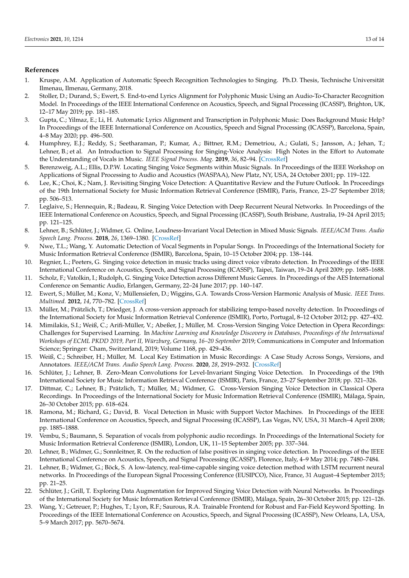### **References**

- <span id="page-12-0"></span>1. Kruspe, A.M. Application of Automatic Speech Recognition Technologies to Singing. Ph.D. Thesis, Technische Universität Ilmenau, Ilmenau, Germany, 2018.
- <span id="page-12-1"></span>2. Stoller, D.; Durand, S.; Ewert, S. End-to-end Lyrics Alignment for Polyphonic Music Using an Audio-To-Character Recognition Model. In Proceedings of the IEEE International Conference on Acoustics, Speech, and Signal Processing (ICASSP), Brighton, UK, 12–17 May 2019; pp. 181–185.
- <span id="page-12-2"></span>3. Gupta, C.; Yilmaz, E.; Li, H. Automatic Lyrics Alignment and Transcription in Polyphonic Music: Does Background Music Help? In Proceedings of the IEEE International Conference on Acoustics, Speech and Signal Processing (ICASSP), Barcelona, Spain, 4–8 May 2020; pp. 496–500.
- <span id="page-12-3"></span>4. Humphrey, E.J.; Reddy, S.; Seetharaman, P.; Kumar, A.; Bittner, R.M.; Demetriou, A.; Gulati, S.; Jansson, A.; Jehan, T.; Lehner, B.; et al. An Introduction to Signal Processing for Singing-Voice Analysis: High Notes in the Effort to Automate the Understanding of Vocals in Music. *IEEE Signal Process. Mag.* **2019**, *36*, 82–94. [\[CrossRef\]](http://doi.org/10.1109/MSP.2018.2875133)
- <span id="page-12-4"></span>5. Berenzweig, A.L.; Ellis, D.P.W. Locating Singing Voice Segments within Music Signals. In Proceedings of the IEEE Workshop on Applications of Signal Processing to Audio and Acoustics (WASPAA), New Platz, NY, USA, 24 October 2001; pp. 119–122.
- <span id="page-12-5"></span>6. Lee, K.; Choi, K.; Nam, J. Revisiting Singing Voice Detection: A Quantitative Review and the Future Outlook. In Proceedings of the 19th International Society for Music Information Retrieval Conference (ISMIR), Paris, France, 23–27 September 2018; pp. 506–513.
- <span id="page-12-17"></span>7. Leglaive, S.; Hennequin, R.; Badeau, R. Singing Voice Detection with Deep Recurrent Neural Networks. In Proceedings of the IEEE International Conference on Acoustics, Speech, and Signal Processing (ICASSP), South Brisbane, Australia, 19–24 April 2015; pp. 121–125.
- <span id="page-12-18"></span>8. Lehner, B.; Schlüter, J.; Widmer, G. Online, Loudness-Invariant Vocal Detection in Mixed Music Signals. *IEEE/ACM Trans. Audio Speech Lang. Process.* **2018**, *26*, 1369–1380. [\[CrossRef\]](http://dx.doi.org/10.1109/TASLP.2018.2825108)
- <span id="page-12-22"></span>9. Nwe, T.L.; Wang, Y. Automatic Detection of Vocal Segments in Popular Songs. In Proceedings of the International Society for Music Information Retrieval Conference (ISMIR), Barcelona, Spain, 10–15 October 2004; pp. 138–144.
- <span id="page-12-6"></span>10. Regnier, L.; Peeters, G. Singing voice detection in music tracks using direct voice vibrato detection. In Proceedings of the IEEE International Conference on Acoustics, Speech, and Signal Processing (ICASSP), Taipei, Taiwan, 19–24 April 2009; pp. 1685–1688.
- <span id="page-12-7"></span>11. Scholz, F.; Vatolkin, I.; Rudolph, G. Singing Voice Detection across Different Music Genres. In Proceedings of the AES International Conference on Semantic Audio, Erlangen, Germany, 22–24 June 2017; pp. 140–147.
- <span id="page-12-8"></span>12. Ewert, S.; Müller, M.; Konz, V.; Müllensiefen, D.; Wiggins, G.A. Towards Cross-Version Harmonic Analysis of Music. *IEEE Trans. Multimed.* **2012**, *14*, 770–782. [\[CrossRef\]](http://dx.doi.org/10.1109/TMM.2012.2190047)
- <span id="page-12-9"></span>13. Müller, M.; Prätzlich, T.; Driedger, J. A cross-version approach for stabilizing tempo-based novelty detection. In Proceedings of the International Society for Music Information Retrieval Conference (ISMIR), Porto, Portugal, 8–12 October 2012; pp. 427–432.
- <span id="page-12-10"></span>14. Mimilakis, S.I.; Weiß, C.; Arifi-Müller, V.; Abeßer, J.; Müller, M. Cross-Version Singing Voice Detection in Opera Recordings: Challenges for Supervised Learning. In *Machine Learning and Knowledge Discovery in Databases, Proceedings of the International Workshops of ECML PKDD 2019, Part II, Würzburg, Germany, 16–20 September* 2019; Communications in Computer and Information Science; Springer: Cham, Switzerland, 2019; Volume 1168, pp. 429–436.
- <span id="page-12-11"></span>15. Weiß, C.; Schreiber, H.; Müller, M. Local Key Estimation in Music Recordings: A Case Study Across Songs, Versions, and Annotators. *IEEE/ACM Trans. Audio Speech Lang. Process.* **2020**, *28*, 2919–2932. [\[CrossRef\]](http://dx.doi.org/10.1109/TASLP.2020.3030485)
- <span id="page-12-12"></span>16. Schlüter, J.; Lehner, B. Zero-Mean Convolutions for Level-Invariant Singing Voice Detection. In Proceedings of the 19th International Society for Music Information Retrieval Conference (ISMIR), Paris, France, 23–27 September 2018; pp. 321–326.
- <span id="page-12-13"></span>17. Dittmar, C.; Lehner, B.; Prätzlich, T.; Müller, M.; Widmer, G. Cross-Version Singing Voice Detection in Classical Opera Recordings. In Proceedings of the International Society for Music Information Retrieval Conference (ISMIR), Málaga, Spain, 26–30 October 2015; pp. 618–624.
- <span id="page-12-14"></span>18. Ramona, M.; Richard, G.; David, B. Vocal Detection in Music with Support Vector Machines. In Proceedings of the IEEE International Conference on Acoustics, Speech, and Signal Processing (ICASSP), Las Vegas, NV, USA, 31 March–4 April 2008; pp. 1885–1888.
- <span id="page-12-15"></span>19. Vembu, S.; Baumann, S. Separation of vocals from polyphonic audio recordings. In Proceedings of the International Society for Music Information Retrieval Conference (ISMIR), London, UK, 11–15 September 2005; pp. 337–344.
- <span id="page-12-16"></span>20. Lehner, B.; Widmer, G.; Sonnleitner, R. On the reduction of false positives in singing voice detection. In Proceedings of the IEEE International Conference on Acoustics, Speech, and Signal Processing (ICASSP), Florence, Italy, 4–9 May 2014; pp. 7480–7484.
- <span id="page-12-19"></span>21. Lehner, B.; Widmer, G.; Böck, S. A low-latency, real-time-capable singing voice detection method with LSTM recurrent neural networks. In Proceedings of the European Signal Processing Conference (EUSIPCO), Nice, France, 31 August–4 September 2015; pp. 21–25.
- <span id="page-12-21"></span>22. Schlüter, J.; Grill, T. Exploring Data Augmentation for Improved Singing Voice Detection with Neural Networks. In Proceedings of the International Society for Music Information Retrieval Conference (ISMIR), Málaga, Spain, 26–30 October 2015; pp. 121–126.
- <span id="page-12-20"></span>23. Wang, Y.; Getreuer, P.; Hughes, T.; Lyon, R.F.; Saurous, R.A. Trainable Frontend for Robust and Far-Field Keyword Spotting. In Proceedings of the IEEE International Conference on Acoustics, Speech, and Signal Processing (ICASSP), New Orleans, LA, USA, 5–9 March 2017; pp. 5670–5674.